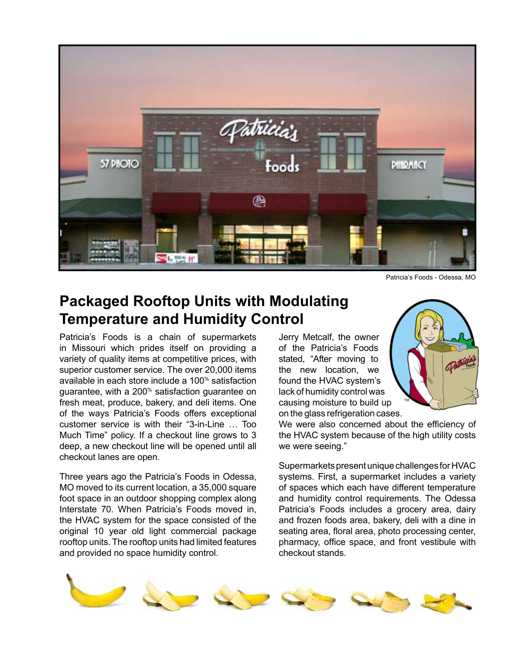

Patricia's Foods - Odessa, MO

## **Packaged Rooftop Units with Modulating Temperature and Humidity Control**

Patricia's Foods is a chain of supermarkets in Missouri which prides itself on providing a variety of quality items at competitive prices, with superior customer service. The over 20,000 items available in each store include a 100% satisfaction guarantee, with a 200% satisfaction guarantee on fresh meat, produce, bakery, and deli items. One of the ways Patricia's Foods offers exceptional customer service is with their "3-in-Line … Too Much Time" policy. If a checkout line grows to 3 deep, a new checkout line will be opened until all checkout lanes are open.

Three years ago the Patricia's Foods in Odessa, MO moved to its current location, a 35,000 square foot space in an outdoor shopping complex along Interstate 70. When Patricia's Foods moved in, the HVAC system for the space consisted of the original 10 year old light commercial package rooftop units. The rooftop units had limited features and provided no space humidity control.

Jerry Metcalf, the owner of the Patricia's Foods stated, "After moving to the new location, we found the HVAC system's lack of humidity control was causing moisture to build up on the glass refrigeration cases.



We were also concerned about the efficiency of the HVAC system because of the high utility costs we were seeing."

Supermarkets present unique challenges for HVAC systems. First, a supermarket includes a variety of spaces which each have different temperature and humidity control requirements. The Odessa Patricia's Foods includes a grocery area, dairy and frozen foods area, bakery, deli with a dine in seating area, floral area, photo processing center, pharmacy, office space, and front vestibule with checkout stands.

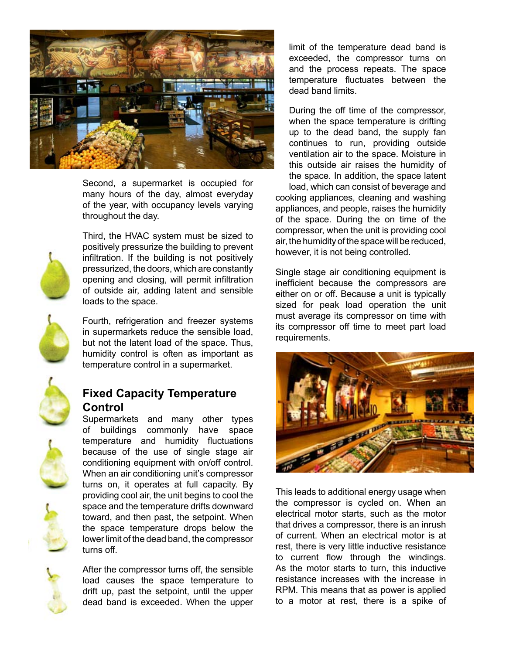

Second, a supermarket is occupied for many hours of the day, almost everyday of the year, with occupancy levels varying throughout the day.



Third, the HVAC system must be sized to positively pressurize the building to prevent infiltration. If the building is not positively pressurized, the doors, which are constantly opening and closing, will permit infiltration of outside air, adding latent and sensible loads to the space.



Fourth, refrigeration and freezer systems in supermarkets reduce the sensible load, but not the latent load of the space. Thus, humidity control is often as important as temperature control in a supermarket.



## **Fixed Capacity Temperature Control**

Supermarkets and many other types of buildings commonly have space temperature and humidity fluctuations because of the use of single stage air conditioning equipment with on/off control. When an air conditioning unit's compressor turns on, it operates at full capacity. By providing cool air, the unit begins to cool the space and the temperature drifts downward toward, and then past, the setpoint. When the space temperature drops below the lower limit of the dead band, the compressor turns off.

After the compressor turns off, the sensible load causes the space temperature to drift up, past the setpoint, until the upper dead band is exceeded. When the upper

limit of the temperature dead band is exceeded, the compressor turns on and the process repeats. The space temperature fluctuates between the dead band limits.

During the off time of the compressor, when the space temperature is drifting up to the dead band, the supply fan continues to run, providing outside ventilation air to the space. Moisture in this outside air raises the humidity of the space. In addition, the space latent load, which can consist of beverage and cooking appliances, cleaning and washing appliances, and people, raises the humidity of the space. During the on time of the compressor, when the unit is providing cool air, the humidity of the space will be reduced, however, it is not being controlled.

Single stage air conditioning equipment is inefficient because the compressors are either on or off. Because a unit is typically sized for peak load operation the unit must average its compressor on time with its compressor off time to meet part load requirements.



This leads to additional energy usage when the compressor is cycled on. When an electrical motor starts, such as the motor that drives a compressor, there is an inrush of current. When an electrical motor is at rest, there is very little inductive resistance to current flow through the windings. As the motor starts to turn, this inductive resistance increases with the increase in RPM. This means that as power is applied to a motor at rest, there is a spike of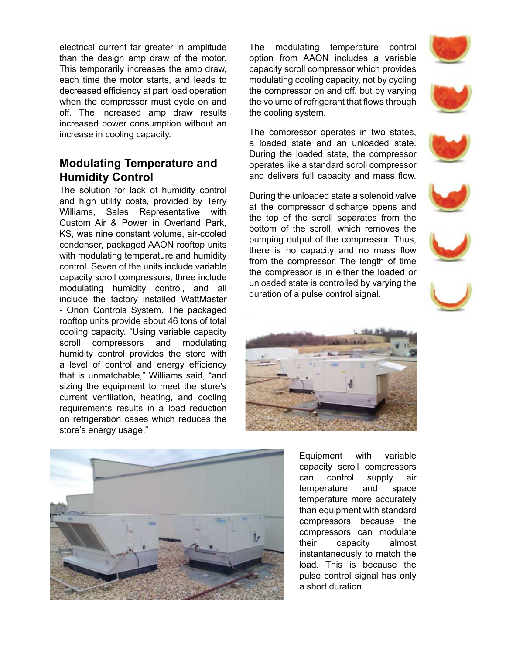electrical current far greater in amplitude than the design amp draw of the motor. This temporarily increases the amp draw, each time the motor starts, and leads to decreased efficiency at part load operation when the compressor must cycle on and off. The increased amp draw results increased power consumption without an increase in cooling capacity.

## **Modulating Temperature and Humidity Control**

The solution for lack of humidity control and high utility costs, provided by Terry Williams, Sales Representative with Custom Air & Power in Overland Park, KS, was nine constant volume, air-cooled condenser, packaged AAON rooftop units with modulating temperature and humidity control. Seven of the units include variable capacity scroll compressors, three include modulating humidity control, and all include the factory installed WattMaster - Orion Controls System. The packaged rooftop units provide about 46 tons of total cooling capacity. "Using variable capacity scroll compressors and modulating humidity control provides the store with a level of control and energy efficiency that is unmatchable," Williams said, "and sizing the equipment to meet the store's current ventilation, heating, and cooling requirements results in a load reduction on refrigeration cases which reduces the store's energy usage."

The modulating temperature control option from AAON includes a variable capacity scroll compressor which provides modulating cooling capacity, not by cycling the compressor on and off, but by varying the volume of refrigerant that flows through the cooling system.

The compressor operates in two states, a loaded state and an unloaded state. During the loaded state, the compressor operates like a standard scroll compressor and delivers full capacity and mass flow.

During the unloaded state a solenoid valve at the compressor discharge opens and the top of the scroll separates from the bottom of the scroll, which removes the pumping output of the compressor. Thus, there is no capacity and no mass flow from the compressor. The length of time the compressor is in either the loaded or unloaded state is controlled by varying the duration of a pulse control signal.





Equipment with variable capacity scroll compressors can control supply air temperature and space temperature more accurately than equipment with standard compressors because the compressors can modulate their capacity almost instantaneously to match the load. This is because the pulse control signal has only a short duration.